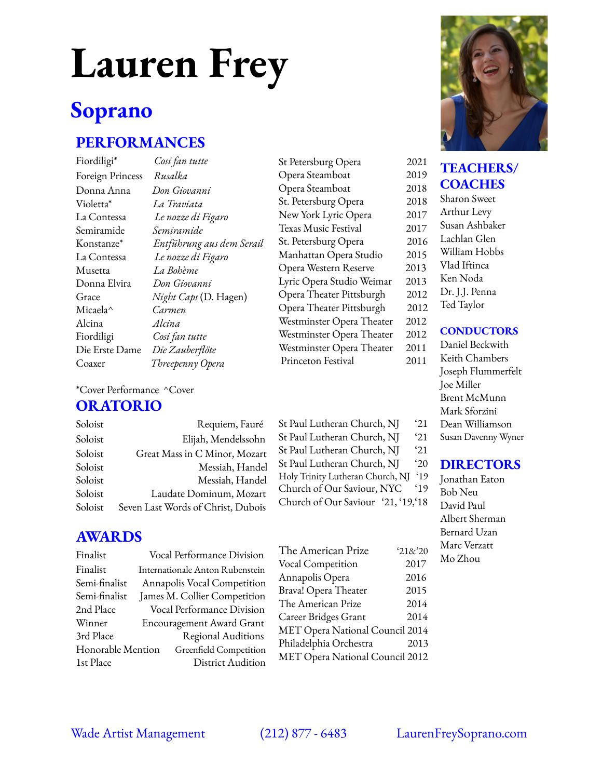# **Lauren Frey**

# **Soprano**

## **PERFORMANCES**

Fiordiligi\* *Cosi fan tutte* Foreign Princess *Rusalka* Donna Anna *Don Giovanni* Violetta\* *La Traviata* La Contessa *Le nozze di Figaro* Semiramide *Semiramide* Konstanze\* *Entführung aus dem Serail* La Contessa *Le nozze di Figaro* Musetta *La Bohème* Donna Elvira *Don Giovanni* Grace *Night Caps* (D. Hagen) Micaela^ *Carmen* Alcina *Alcina* Fiordiligi *Cosi fan tutte* Die Erste Dame *Die Zauberflöte* Coaxer *Threepenny Opera*

St Petersburg Opera 2021 Opera Steamboat 2019 Opera Steamboat 2018 St. Petersburg Opera 2018 New York Lyric Opera 2017 Texas Music Festival 2017 St. Petersburg Opera 2016 Manhattan Opera Studio 2015 Opera Western Reserve 2013 Lyric Opera Studio Weimar 2013 Opera Theater Pittsburgh 2012 Opera Theater Pittsburgh 2012 Westminster Opera Theater 2012 Westminster Opera Theater 2012 Westminster Opera Theater 2011 Princeton Festival 2011

#### \*Cover Performance ^Cover

#### **ORATORIO**

| Soloist | Requiem, Fauré                     |  |
|---------|------------------------------------|--|
| Soloist | Elijah, Mendelssohn                |  |
| Soloist | Great Mass in C Minor, Mozart      |  |
| Soloist | Messiah, Handel                    |  |
| Soloist | Messiah, Handel                    |  |
| Soloist | Laudate Dominum, Mozart            |  |
| Soloist | Seven Last Words of Christ, Dubois |  |

### **AWARDS**

| Finalist          | Vocal Performance Division      |  |  |
|-------------------|---------------------------------|--|--|
| Finalist          | Internationale Anton Rubenstein |  |  |
| Semi-finalist     | Annapolis Vocal Competition     |  |  |
| Semi-finalist     | James M. Collier Competition    |  |  |
| 2nd Place         | Vocal Performance Division      |  |  |
| Winner            | Encouragement Award Grant       |  |  |
| 3rd Place         | Regional Auditions              |  |  |
| Honorable Mention | Greenfield Competition          |  |  |
| 1st Place         | <b>District Audition</b>        |  |  |

| Holy Trinity Lutheran Church, NJ   | $^{\circ}19$ |
|------------------------------------|--------------|
| Church of Our Saviour, NYC         | $^{\circ}19$ |
| Church of Our Saviour '21, '19,'18 |              |
|                                    |              |
|                                    |              |
|                                    |              |
| The American Prize                 | 218/20       |
| Vocal Competition                  | 2017         |
| Annapolis Opera                    | 2016         |
| Brava! Opera Theater               | 2015         |

The American Prize 2014 Career Bridges Grant 2014 MET Opera National Council 2014 Philadelphia Orchestra 2013 MET Opera National Council 2012

St Paul Lutheran Church, NJ '21 St Paul Lutheran Church, NJ '20



#### **TEACHERS/ COACHES**

Sharon Sweet Arthur Levy Susan Ashbaker Lachlan Glen William Hobbs Vlad Iftinca Ken Noda Dr. J.J. Penna Ted Taylor

#### **CONDUCTORS**

- Daniel Beckwith
- St Paul Lutheran Church, NJ 21 St Paul Lutheran Church, NJ 21 Keith Chambers Joseph Flummerfelt Joe Miller Brent McMunn Mark Sforzini Dean Williamson

#### Susan Davenny Wyner

#### **DIRECTORS**

Jonathan Eaton Bob Neu David Paul Albert Sherman Bernard Uzan Marc Verzatt Mo Zhou